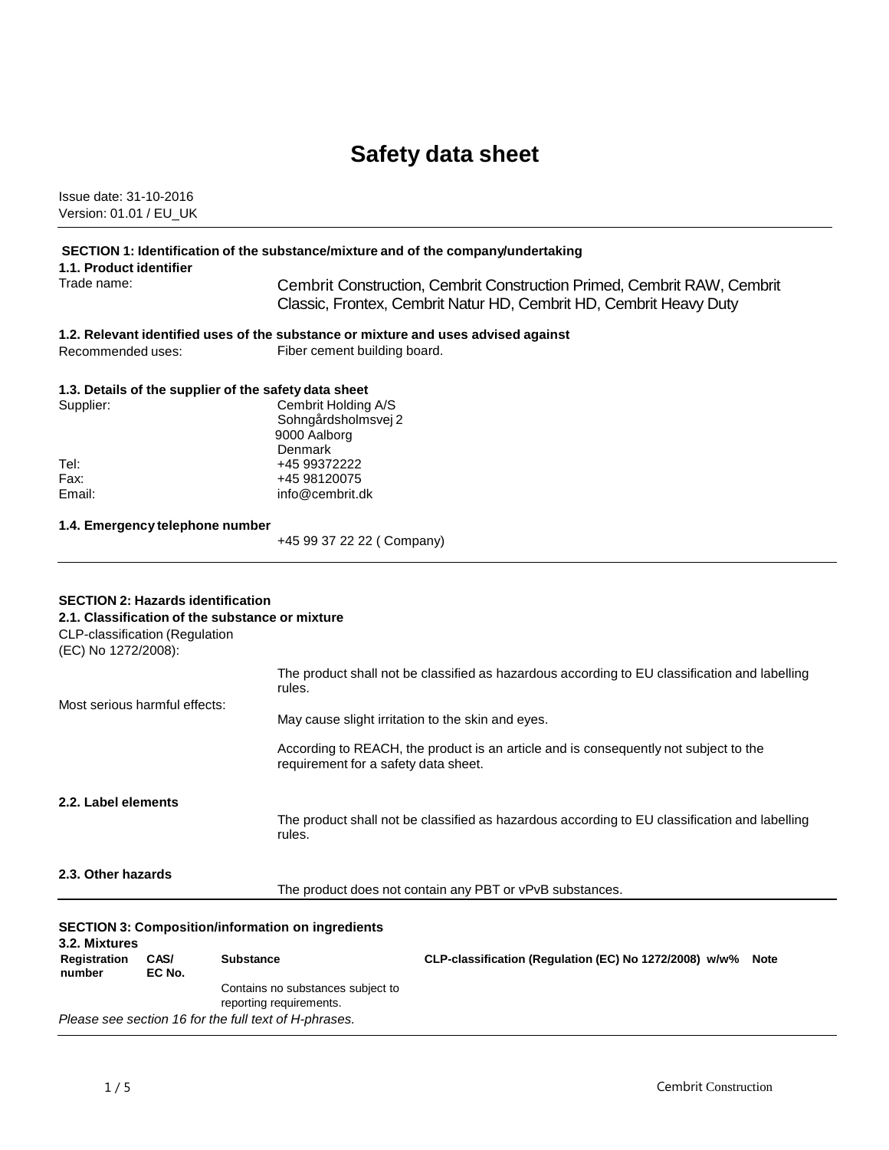# **Safety data sheet**

Issue date: 31-10-2016 Version: 01.01 / EU\_UK

# **SECTION 1: Identification of the substance/mixture and of the company/undertaking**

**1.1. Product identifier**

Trade name: Cembrit Construction, Cembrit Construction Primed, Cembrit RAW, Cembrit Classic, Frontex, Cembrit Natur HD, Cembrit HD, Cembrit Heavy Duty

# **1.2. Relevant identified uses of the substance or mixture and uses advised against**

Recommended uses: Fiber cement building board.

### **1.3. Details of the supplier of the safety data sheet**

| Supplier: | Cembrit Holding A/S |
|-----------|---------------------|
|           | Sohngårdsholmsvej 2 |
|           | 9000 Aalborg        |
|           | Denmark             |
| Tel:      | +45 99372222        |
| Fax:      | +45 98120075        |
| Email:    | info@cembrit.dk     |
|           |                     |

### **1.4. Emergency telephone number**

+45 99 37 22 22 ( Company)

### **SECTION 2: Hazards identification 2.1. Classification of the substance or mixture**

CLP-classification (Regulation (EC) No 1272/2008): Most serious harmful effects: The product shall not be classified as hazardous according to EU classification and labelling rules. May cause slight irritation to the skin and eyes. According to REACH, the product is an article and is consequently not subject to the requirement for a safety data sheet. **2.2. Label elements** The product shall not be classified as hazardous according to EU classification and labelling rules. **2.3. Other hazards** The product does not contain any PBT or vPvB substances.

#### **SECTION 3: Composition/information on ingredients 3.2. Mixtures Registration number CAS/ EC No. Substance CLP-classification (Regulation (EC) No 1272/2008) w/w% Note** Contains no substances subject to reporting requirements. *Please see section 16 for the full text of H-phrases.*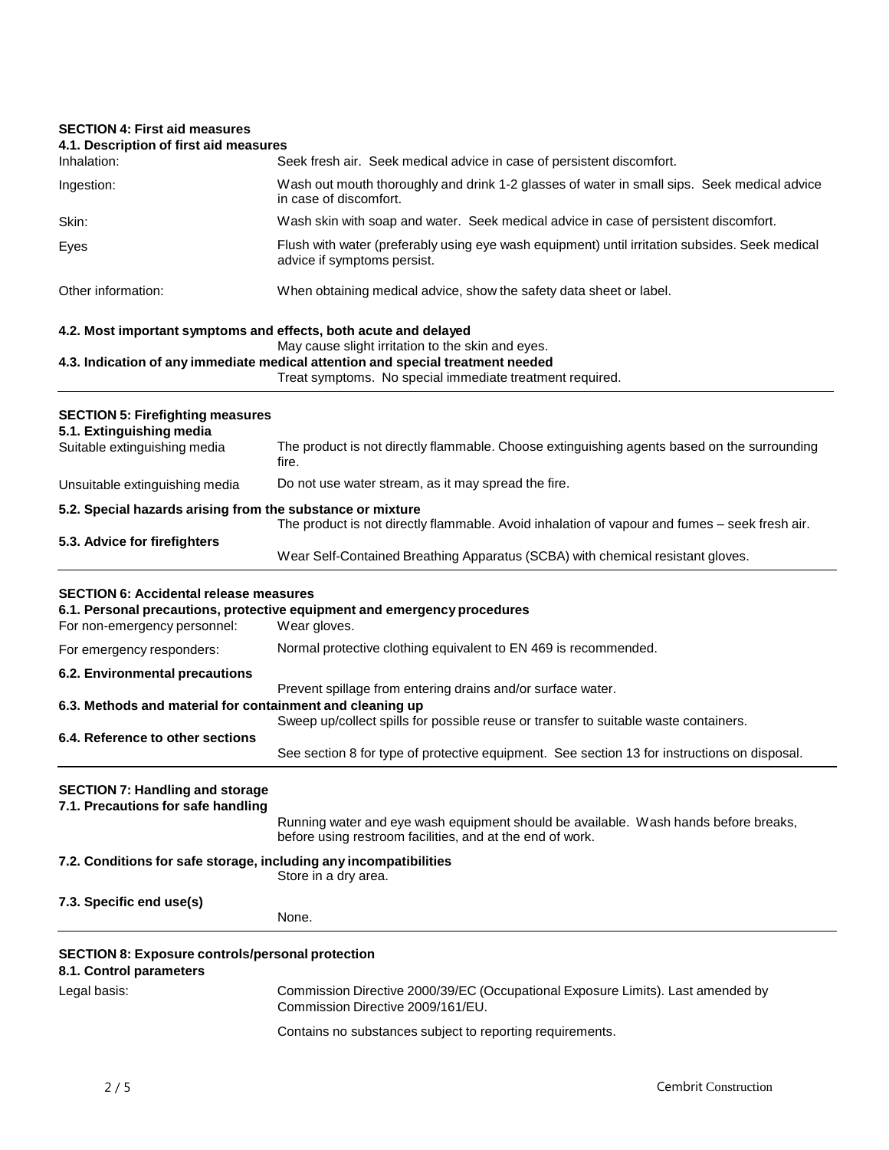# **SECTION 4: First aid measures**

| JEUTIUN 4. FIISL dIU IIIEdSUIES<br>4.1. Description of first aid measures          |                                                                                                                                                                                                  |
|------------------------------------------------------------------------------------|--------------------------------------------------------------------------------------------------------------------------------------------------------------------------------------------------|
| Inhalation:                                                                        | Seek fresh air. Seek medical advice in case of persistent discomfort.                                                                                                                            |
| Ingestion:                                                                         | Wash out mouth thoroughly and drink 1-2 glasses of water in small sips. Seek medical advice<br>in case of discomfort.                                                                            |
| Skin:                                                                              | Wash skin with soap and water. Seek medical advice in case of persistent discomfort.                                                                                                             |
| Eyes                                                                               | Flush with water (preferably using eye wash equipment) until irritation subsides. Seek medical<br>advice if symptoms persist.                                                                    |
| Other information:                                                                 | When obtaining medical advice, show the safety data sheet or label.                                                                                                                              |
| 4.2. Most important symptoms and effects, both acute and delayed                   |                                                                                                                                                                                                  |
|                                                                                    | May cause slight irritation to the skin and eyes.<br>4.3. Indication of any immediate medical attention and special treatment needed<br>Treat symptoms. No special immediate treatment required. |
| <b>SECTION 5: Firefighting measures</b><br>5.1. Extinguishing media                |                                                                                                                                                                                                  |
| Suitable extinguishing media                                                       | The product is not directly flammable. Choose extinguishing agents based on the surrounding<br>fire.                                                                                             |
| Unsuitable extinguishing media                                                     | Do not use water stream, as it may spread the fire.                                                                                                                                              |
| 5.2. Special hazards arising from the substance or mixture                         |                                                                                                                                                                                                  |
| 5.3. Advice for firefighters                                                       | The product is not directly flammable. Avoid inhalation of vapour and fumes - seek fresh air.                                                                                                    |
|                                                                                    | Wear Self-Contained Breathing Apparatus (SCBA) with chemical resistant gloves.                                                                                                                   |
| <b>SECTION 6: Accidental release measures</b><br>For non-emergency personnel:      | 6.1. Personal precautions, protective equipment and emergency procedures<br>Wear gloves.                                                                                                         |
| For emergency responders:                                                          | Normal protective clothing equivalent to EN 469 is recommended.                                                                                                                                  |
| 6.2. Environmental precautions                                                     |                                                                                                                                                                                                  |
| 6.3. Methods and material for containment and cleaning up                          | Prevent spillage from entering drains and/or surface water.                                                                                                                                      |
|                                                                                    | Sweep up/collect spills for possible reuse or transfer to suitable waste containers.                                                                                                             |
| 6.4. Reference to other sections                                                   | See section 8 for type of protective equipment. See section 13 for instructions on disposal.                                                                                                     |
| <b>SECTION 7: Handling and storage</b><br>7.1. Precautions for safe handling       | Running water and eye wash equipment should be available. Wash hands before breaks,<br>before using restroom facilities, and at the end of work.                                                 |
| 7.2. Conditions for safe storage, including any incompatibilities                  | Store in a dry area.                                                                                                                                                                             |
| 7.3. Specific end use(s)                                                           | None.                                                                                                                                                                                            |
| <b>SECTION 8: Exposure controls/personal protection</b><br>8.1. Control parameters |                                                                                                                                                                                                  |
| Legal basis:                                                                       | Commission Directive 2000/39/EC (Occupational Exposure Limits). Last amended by<br>Commission Directive 2009/161/EU.                                                                             |
|                                                                                    | Contains no substances subject to reporting requirements.                                                                                                                                        |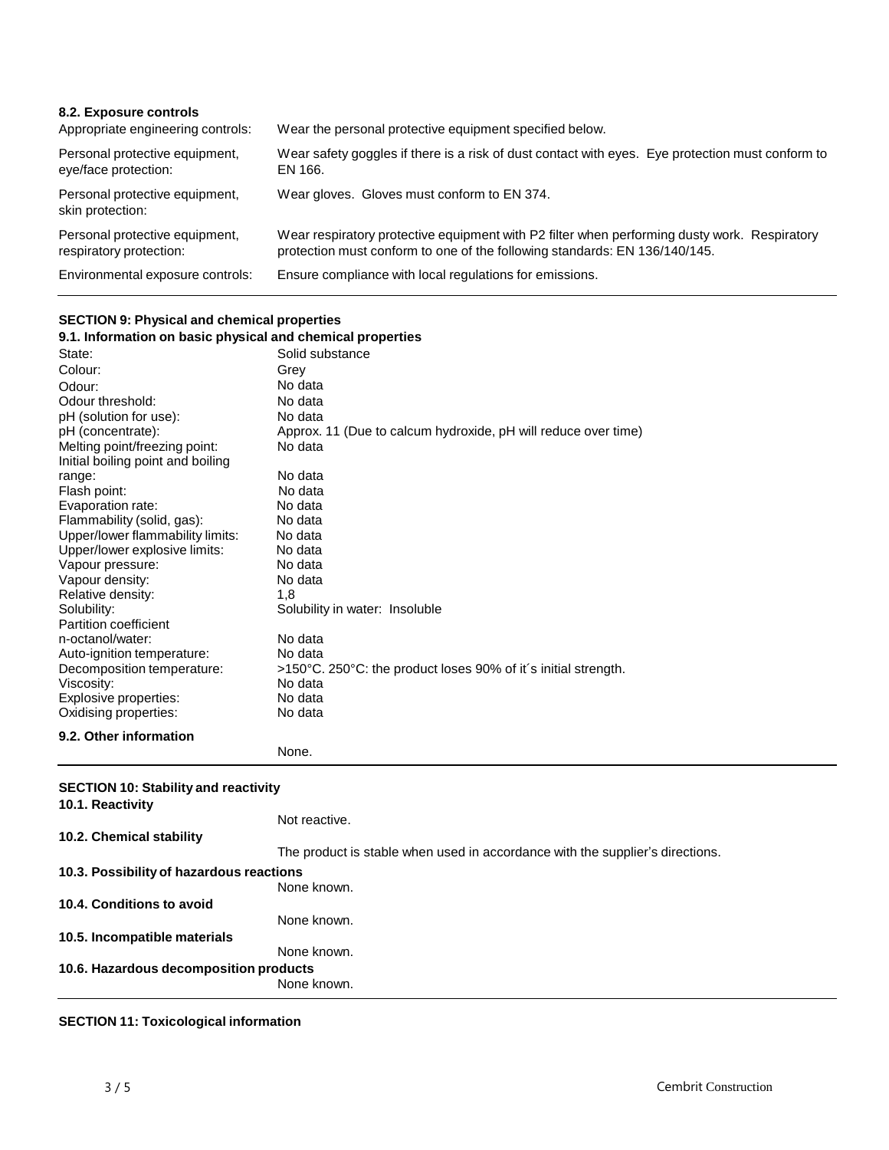| 8.2. Exposure controls<br>Appropriate engineering controls: | Wear the personal protective equipment specified below.                                                                                                                    |
|-------------------------------------------------------------|----------------------------------------------------------------------------------------------------------------------------------------------------------------------------|
| Personal protective equipment,<br>eye/face protection:      | Wear safety goggles if there is a risk of dust contact with eyes. Eye protection must conform to<br>EN 166.                                                                |
| Personal protective equipment,<br>skin protection:          | Wear gloves. Gloves must conform to EN 374.                                                                                                                                |
| Personal protective equipment,<br>respiratory protection:   | Wear respiratory protective equipment with P2 filter when performing dusty work. Respiratory<br>protection must conform to one of the following standards: EN 136/140/145. |
| Environmental exposure controls:                            | Ensure compliance with local regulations for emissions.                                                                                                                    |

# **SECTION 9: Physical and chemical properties**

| 9.1. Information on basic physical and chemical properties |                                                                |  |
|------------------------------------------------------------|----------------------------------------------------------------|--|
| State:                                                     | Solid substance                                                |  |
| Colour:                                                    | Grey                                                           |  |
| Odour:                                                     | No data                                                        |  |
| Odour threshold:                                           | No data                                                        |  |
| pH (solution for use):                                     | No data                                                        |  |
| pH (concentrate):                                          | Approx. 11 (Due to calcum hydroxide, pH will reduce over time) |  |
| Melting point/freezing point:                              | No data                                                        |  |
| Initial boiling point and boiling                          |                                                                |  |
| range:                                                     | No data                                                        |  |
| Flash point:                                               | No data                                                        |  |
| Evaporation rate:                                          | No data                                                        |  |
| Flammability (solid, gas):                                 | No data                                                        |  |
| Upper/lower flammability limits:                           | No data                                                        |  |
| Upper/lower explosive limits:                              | No data                                                        |  |
| Vapour pressure:                                           | No data                                                        |  |
| Vapour density:                                            | No data                                                        |  |
| Relative density:                                          | 1.8                                                            |  |
| Solubility:                                                | Solubility in water: Insoluble                                 |  |
| Partition coefficient                                      |                                                                |  |
| n-octanol/water:                                           | No data                                                        |  |
| Auto-ignition temperature:                                 | No data                                                        |  |
| Decomposition temperature:                                 | >150°C. 250°C: the product loses 90% of it's initial strength. |  |
| Viscosity:                                                 | No data                                                        |  |
| Explosive properties:                                      | No data                                                        |  |
| Oxidising properties:                                      | No data                                                        |  |
| 9.2. Other information                                     |                                                                |  |
|                                                            | None.                                                          |  |
|                                                            |                                                                |  |
| <b>SECTION 10: Stability and reactivity</b>                |                                                                |  |
| 10.1. Reactivity                                           |                                                                |  |

# **10.2. Chemical stability** Not reactive. The product is stable when used in accordance with the supplier's directions. **10.3. Possibilityof hazardous reactions** None known. **10.4. Conditions to avoid 10.5. Incompatible materials** None known. None known. **10.6. Hazardous decomposition products** None known.

### **SECTION 11: Toxicological information**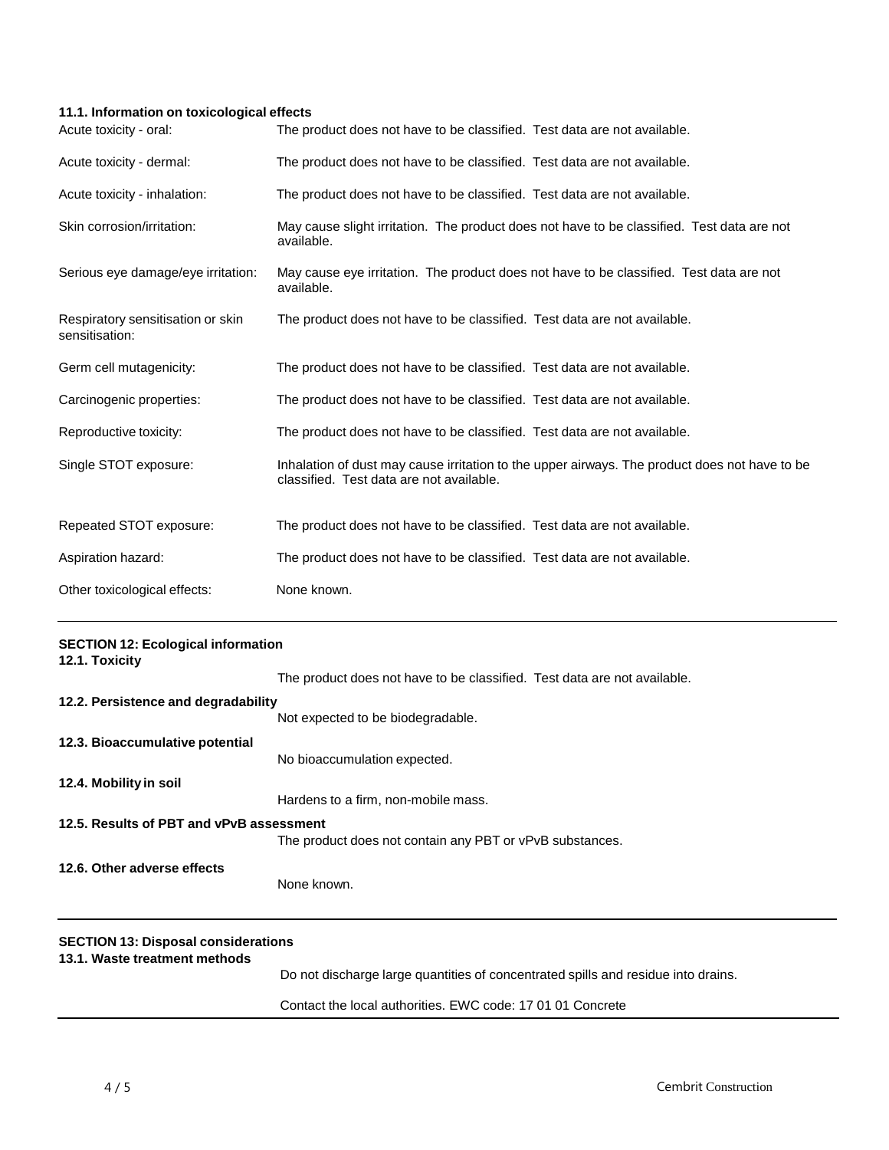# **11.1. Information on toxicological effects**

| Acute toxicity - oral:                              | The product does not have to be classified. Test data are not available.                                                                  |
|-----------------------------------------------------|-------------------------------------------------------------------------------------------------------------------------------------------|
| Acute toxicity - dermal:                            | The product does not have to be classified. Test data are not available.                                                                  |
| Acute toxicity - inhalation:                        | The product does not have to be classified. Test data are not available.                                                                  |
| Skin corrosion/irritation:                          | May cause slight irritation. The product does not have to be classified. Test data are not<br>available.                                  |
| Serious eye damage/eye irritation:                  | May cause eye irritation. The product does not have to be classified. Test data are not<br>available.                                     |
| Respiratory sensitisation or skin<br>sensitisation: | The product does not have to be classified. Test data are not available.                                                                  |
| Germ cell mutagenicity:                             | The product does not have to be classified. Test data are not available.                                                                  |
| Carcinogenic properties:                            | The product does not have to be classified. Test data are not available.                                                                  |
| Reproductive toxicity:                              | The product does not have to be classified. Test data are not available.                                                                  |
| Single STOT exposure:                               | Inhalation of dust may cause irritation to the upper airways. The product does not have to be<br>classified. Test data are not available. |
| Repeated STOT exposure:                             | The product does not have to be classified. Test data are not available.                                                                  |
| Aspiration hazard:                                  | The product does not have to be classified. Test data are not available.                                                                  |
| Other toxicological effects:                        | None known.                                                                                                                               |

| <b>SECTION 12: Ecological information</b><br>12.1. Toxicity |                                                                                   |
|-------------------------------------------------------------|-----------------------------------------------------------------------------------|
|                                                             | The product does not have to be classified. Test data are not available.          |
| 12.2. Persistence and degradability                         |                                                                                   |
|                                                             | Not expected to be biodegradable.                                                 |
| 12.3. Bioaccumulative potential                             |                                                                                   |
|                                                             | No bioaccumulation expected.                                                      |
| 12.4. Mobility in soil                                      |                                                                                   |
|                                                             | Hardens to a firm, non-mobile mass.                                               |
| 12.5. Results of PBT and vPvB assessment                    |                                                                                   |
|                                                             | The product does not contain any PBT or vPvB substances.                          |
| 12.6. Other adverse effects                                 |                                                                                   |
|                                                             | None known.                                                                       |
| <b>SECTION 13: Disposal considerations</b>                  |                                                                                   |
| 13.1. Waste treatment methods                               | Do not discharge large quantities of concentrated spills and residue into drains. |
|                                                             | Contact the local authorities. EWC code: 17 01 01 Concrete                        |